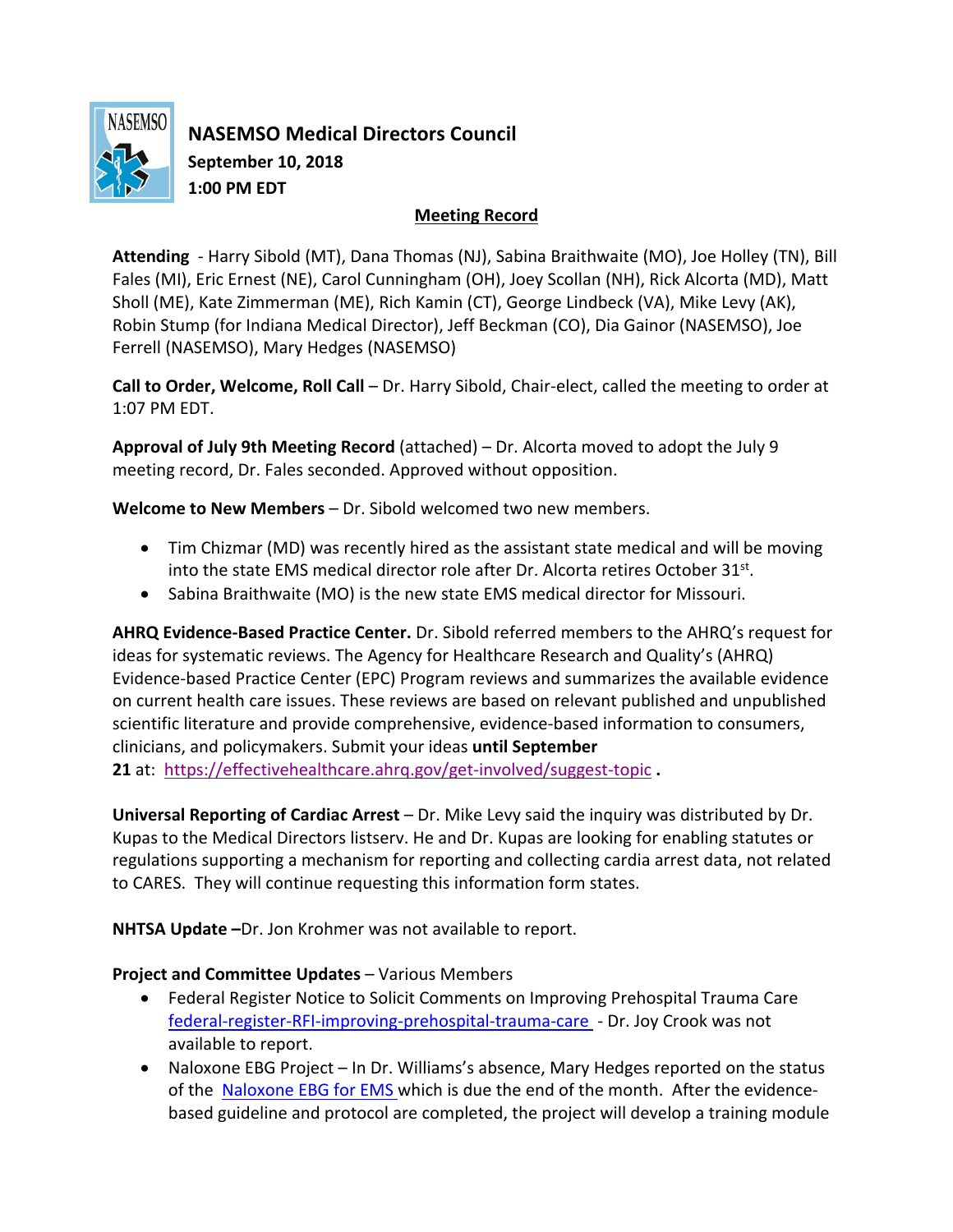

**NASEMSO Medical Directors Council September 10, 2018 1:00 PM EDT**

## **Meeting Record**

**Attending** - Harry Sibold (MT), Dana Thomas (NJ), Sabina Braithwaite (MO), Joe Holley (TN), Bill Fales (MI), Eric Ernest (NE), Carol Cunningham (OH), Joey Scollan (NH), Rick Alcorta (MD), Matt Sholl (ME), Kate Zimmerman (ME), Rich Kamin (CT), George Lindbeck (VA), Mike Levy (AK), Robin Stump (for Indiana Medical Director), Jeff Beckman (CO), Dia Gainor (NASEMSO), Joe Ferrell (NASEMSO), Mary Hedges (NASEMSO)

**Call to Order, Welcome, Roll Call** – Dr. Harry Sibold, Chair-elect, called the meeting to order at 1:07 PM EDT.

**Approval of July 9th Meeting Record** (attached) – Dr. Alcorta moved to adopt the July 9 meeting record, Dr. Fales seconded. Approved without opposition.

**Welcome to New Members** – Dr. Sibold welcomed two new members.

- Tim Chizmar (MD) was recently hired as the assistant state medical and will be moving into the state EMS medical director role after Dr. Alcorta retires October  $31^{st}$ .
- Sabina Braithwaite (MO) is the new state EMS medical director for Missouri.

**AHRQ Evidence-Based Practice Center.** Dr. Sibold referred members to the AHRQ's request for ideas for systematic reviews. The Agency for Healthcare Research and Quality's (AHRQ) Evidence-based Practice Center (EPC) Program reviews and summarizes the available evidence on current health care issues. These reviews are based on relevant published and unpublished scientific literature and provide comprehensive, evidence-based information to consumers, clinicians, and policymakers. Submit your ideas **until September 21** at: https://effectivehealthcare.ahrq.gov/get-involved/suggest-topic **.** 

**Universal Reporting of Cardiac Arrest** – Dr. Mike Levy said the inquiry was distributed by Dr. Kupas to the Medical Directors listserv. He and Dr. Kupas are looking for enabling statutes or regulations supporting a mechanism for reporting and collecting cardia arrest data, not related to CARES. They will continue requesting this information form states.

**NHTSA Update –**Dr. Jon Krohmer was not available to report.

## **Project and Committee Updates** – Various Members

- Federal Register Notice to Solicit Comments on Improving Prehospital Trauma Care federal-register-RFI-improving-prehospital-trauma-care - Dr. Joy Crook was not available to report.
- Naloxone EBG Project In Dr. Williams's absence, Mary Hedges reported on the status of the Naloxone EBG for EMS which is due the end of the month. After the evidencebased guideline and protocol are completed, the project will develop a training module